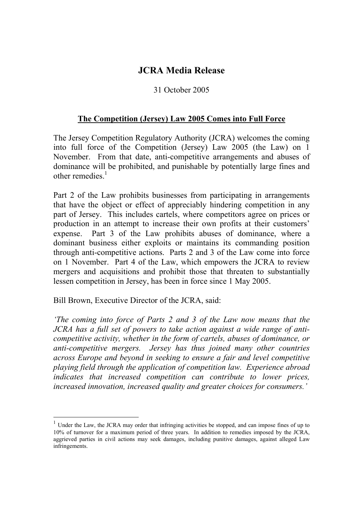## **JCRA Media Release**

## 31 October 2005

## **The Competition (Jersey) Law 2005 Comes into Full Force**

The Jersey Competition Regulatory Authority (JCRA) welcomes the coming into full force of the Competition (Jersey) Law 2005 (the Law) on 1 November. From that date, anti-competitive arrangements and abuses of dominance will be prohibited, and punishable by potentially large fines and other remedies. $<sup>1</sup>$ </sup>

Part 2 of the Law prohibits businesses from participating in arrangements that have the object or effect of appreciably hindering competition in any part of Jersey. This includes cartels, where competitors agree on prices or production in an attempt to increase their own profits at their customers' expense. Part 3 of the Law prohibits abuses of dominance, where a dominant business either exploits or maintains its commanding position through anti-competitive actions. Parts 2 and 3 of the Law come into force on 1 November. Part 4 of the Law, which empowers the JCRA to review mergers and acquisitions and prohibit those that threaten to substantially lessen competition in Jersey, has been in force since 1 May 2005.

Bill Brown, Executive Director of the JCRA, said:

*'The coming into force of Parts 2 and 3 of the Law now means that the JCRA has a full set of powers to take action against a wide range of anticompetitive activity, whether in the form of cartels, abuses of dominance, or anti-competitive mergers. Jersey has thus joined many other countries across Europe and beyond in seeking to ensure a fair and level competitive playing field through the application of competition law. Experience abroad indicates that increased competition can contribute to lower prices, increased innovation, increased quality and greater choices for consumers.'* 

 $1$  Under the Law, the JCRA may order that infringing activities be stopped, and can impose fines of up to 10% of turnover for a maximum period of three years. In addition to remedies imposed by the JCRA, aggrieved parties in civil actions may seek damages, including punitive damages, against alleged Law infringements.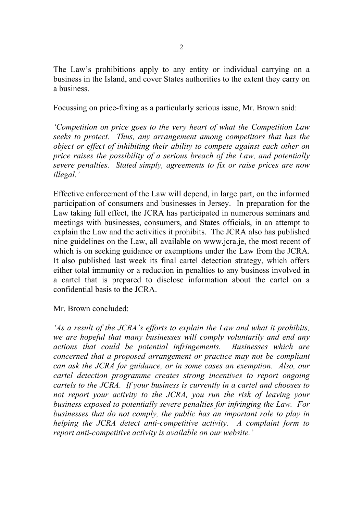The Law's prohibitions apply to any entity or individual carrying on a business in the Island, and cover States authorities to the extent they carry on a business.

Focussing on price-fixing as a particularly serious issue, Mr. Brown said:

*'Competition on price goes to the very heart of what the Competition Law seeks to protect. Thus, any arrangement among competitors that has the object or effect of inhibiting their ability to compete against each other on price raises the possibility of a serious breach of the Law, and potentially severe penalties. Stated simply, agreements to fix or raise prices are now illegal.'* 

Effective enforcement of the Law will depend, in large part, on the informed participation of consumers and businesses in Jersey. In preparation for the Law taking full effect, the JCRA has participated in numerous seminars and meetings with businesses, consumers, and States officials, in an attempt to explain the Law and the activities it prohibits. The JCRA also has published nine guidelines on the Law, all available on www.jcra.je, the most recent of which is on seeking guidance or exemptions under the Law from the JCRA. It also published last week its final cartel detection strategy, which offers either total immunity or a reduction in penalties to any business involved in a cartel that is prepared to disclose information about the cartel on a confidential basis to the JCRA.

## Mr. Brown concluded:

*'As a result of the JCRA's efforts to explain the Law and what it prohibits, we are hopeful that many businesses will comply voluntarily and end any actions that could be potential infringements. Businesses which are concerned that a proposed arrangement or practice may not be compliant can ask the JCRA for guidance, or in some cases an exemption. Also, our cartel detection programme creates strong incentives to report ongoing cartels to the JCRA. If your business is currently in a cartel and chooses to not report your activity to the JCRA, you run the risk of leaving your business exposed to potentially severe penalties for infringing the Law. For businesses that do not comply, the public has an important role to play in helping the JCRA detect anti-competitive activity. A complaint form to report anti-competitive activity is available on our website.'*